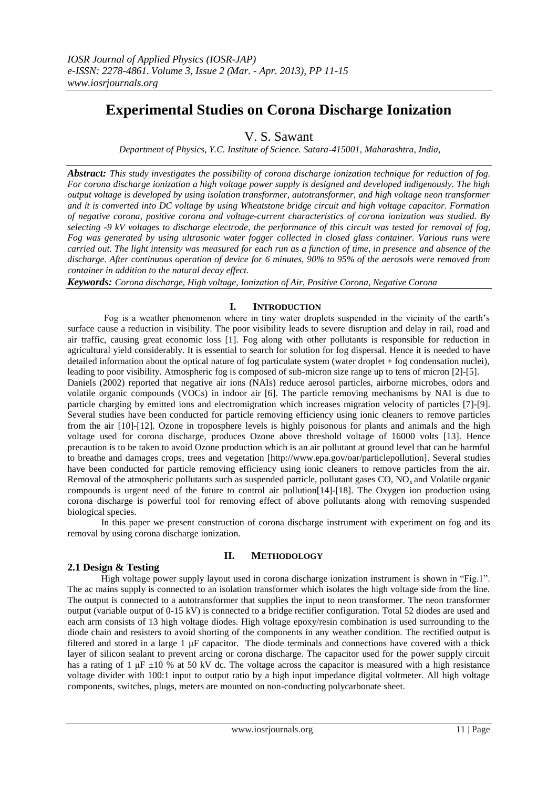# **Experimental Studies on Corona Discharge Ionization**

V. S. Sawant

*Department of Physics, Y.C. Institute of Science. Satara-415001, Maharashtra, India,* 

*Abstract: This study investigates the possibility of corona discharge ionization technique for reduction of fog. For corona discharge ionization a high voltage power supply is designed and developed indigenously. The high output voltage is developed by using isolation transformer, autotransformer, and high voltage neon transformer and it is converted into DC voltage by using Wheatstone bridge circuit and high voltage capacitor. Formation of negative corona, positive corona and voltage-current characteristics of corona ionization was studied. By selecting -9 kV voltages to discharge electrode, the performance of this circuit was tested for removal of fog, Fog was generated by using ultrasonic water fogger collected in closed glass container. Various runs were carried out. The light intensity was measured for each run as a function of time, in presence and absence of the discharge. After continuous operation of device for 6 minutes, 90% to 95% of the aerosols were removed from container in addition to the natural decay effect.* 

*Keywords: Corona discharge, High voltage, Ionization of Air, Positive Corona, Negative Corona* 

# **I. INTRODUCTION**

 Fog is a weather phenomenon where in tiny water droplets suspended in the vicinity of the earth"s surface cause a reduction in visibility. The poor visibility leads to severe disruption and delay in rail, road and air traffic, causing great economic loss [1]. Fog along with other pollutants is responsible for reduction in agricultural yield considerably. It is essential to search for solution for fog dispersal. Hence it is needed to have detailed information about the optical nature of fog particulate system (water droplet + fog condensation nuclei), leading to poor visibility. Atmospheric fog is composed of sub-micron size range up to tens of micron [2]-[5].

Daniels (2002) reported that negative air ions (NAIs) reduce aerosol particles, airborne microbes, odors and volatile organic compounds (VOCs) in indoor air [6]. The particle removing mechanisms by NAI is due to particle charging by emitted ions and electromigration which increases migration velocity of particles [7]-[9]. Several studies have been conducted for particle removing efficiency using ionic cleaners to remove particles from the air [10]-[12]. Ozone in troposphere levels is highly poisonous for plants and animals and the high voltage used for corona discharge, produces Ozone above threshold voltage of 16000 volts [13]. Hence precaution is to be taken to avoid Ozone production which is an air pollutant at ground level that can be harmful to breathe and damages crops, trees and vegetation [http://www.epa.gov/oar/particlepollution]. Several studies have been conducted for particle removing efficiency using ionic cleaners to remove particles from the air. Removal of the atmospheric pollutants such as suspended particle, pollutant gases  $CO$ ,  $NO<sub>x</sub>$  and Volatile organic compounds is urgent need of the future to control air pollution[14]-[18]. The Oxygen ion production using corona discharge is powerful tool for removing effect of above pollutants along with removing suspended biological species.

In this paper we present construction of corona discharge instrument with experiment on fog and its removal by using corona discharge ionization.

## **II. METHODOLOGY**

## **2.1 Design & Testing**

High voltage power supply layout used in corona discharge ionization instrument is shown in "Fig.1". The ac mains supply is connected to an isolation transformer which isolates the high voltage side from the line. The output is connected to a autotransformer that supplies the input to neon transformer. The neon transformer output (variable output of 0-15 kV) is connected to a bridge rectifier configuration. Total 52 diodes are used and each arm consists of 13 high voltage diodes. High voltage epoxy/resin combination is used surrounding to the diode chain and resisters to avoid shorting of the components in any weather condition. The rectified output is filtered and stored in a large 1 μF capacitor. The diode terminals and connections have covered with a thick layer of silicon sealant to prevent arcing or corona discharge. The capacitor used for the power supply circuit has a rating of 1  $\mu$ F  $\pm$ 10 % at 50 kV dc. The voltage across the capacitor is measured with a high resistance voltage divider with 100:1 input to output ratio by a high input impedance digital voltmeter. All high voltage components, switches, plugs, meters are mounted on non-conducting polycarbonate sheet.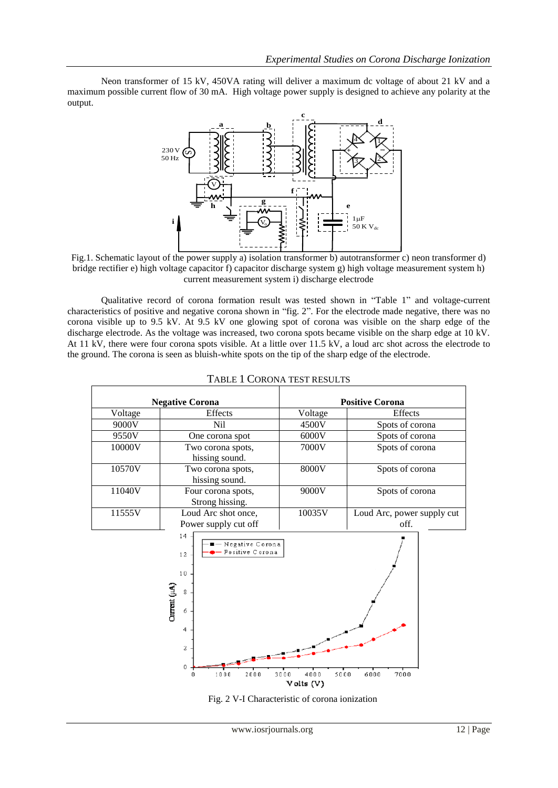Neon transformer of 15 kV, 450VA rating will deliver a maximum dc voltage of about 21 kV and a maximum possible current flow of 30 mA. High voltage power supply is designed to achieve any polarity at the output.



Fig.1. Schematic layout of the power supply a) isolation transformer b) autotransformer c) neon transformer d) bridge rectifier e) high voltage capacitor f) capacitor discharge system g) high voltage measurement system h) current measurement system i) discharge electrode

Qualitative record of corona formation result was tested shown in "Table 1" and voltage-current characteristics of positive and negative corona shown in "fig. 2". For the electrode made negative, there was no corona visible up to 9.5 kV. At 9.5 kV one glowing spot of corona was visible on the sharp edge of the discharge electrode. As the voltage was increased, two corona spots became visible on the sharp edge at 10 kV. At 11 kV, there were four corona spots visible. At a little over 11.5 kV, a loud arc shot across the electrode to the ground. The corona is seen as bluish-white spots on the tip of the sharp edge of the electrode.

| <b>Negative Corona</b> |                                                                         | <b>Positive Corona</b> |                                    |
|------------------------|-------------------------------------------------------------------------|------------------------|------------------------------------|
| Voltage                | Effects                                                                 | Voltage                | <b>Effects</b>                     |
| 9000V                  | Nil                                                                     | 4500V                  | Spots of corona                    |
| 9550V                  | One corona spot                                                         | 6000V                  | Spots of corona                    |
| 10000V                 | Two corona spots,<br>hissing sound.                                     | 7000V                  | Spots of corona                    |
| 10570V                 | Two corona spots,<br>hissing sound.                                     | 8000V                  | Spots of corona                    |
| 11040V                 | Four corona spots,<br>Strong hissing.                                   | 9000V                  | Spots of corona                    |
| 11555V                 | Loud Arc shot once,<br>Power supply cut off                             | 10035V                 | Loud Arc, power supply cut<br>off. |
|                        | 14<br>$\blacksquare$ - Negative Corona<br>— Positive Corona<br>12<br>10 |                        |                                    |

## TABLE 1 CORONA TEST RESULTS



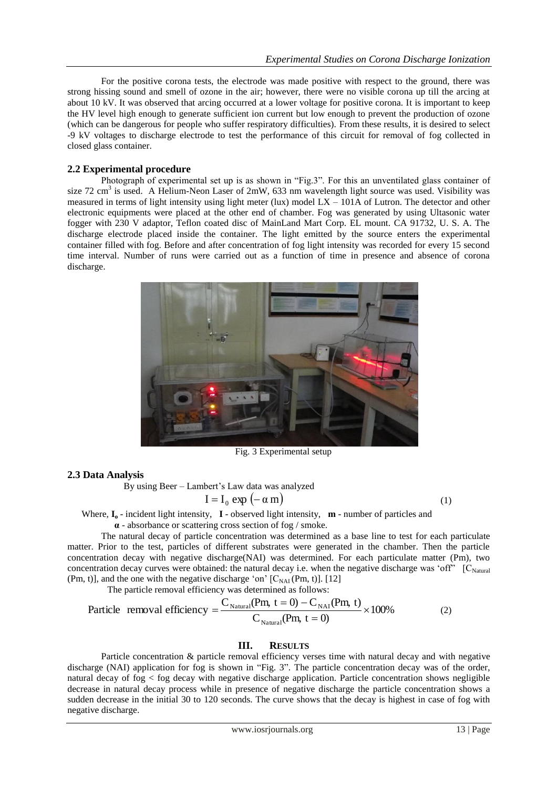For the positive corona tests, the electrode was made positive with respect to the ground, there was strong hissing sound and smell of ozone in the air; however, there were no visible corona up till the arcing at about 10 kV. It was observed that arcing occurred at a lower voltage for positive corona. It is important to keep the HV level high enough to generate sufficient ion current but low enough to prevent the production of ozone (which can be dangerous for people who suffer respiratory difficulties). From these results, it is desired to select -9 kV voltages to discharge electrode to test the performance of this circuit for removal of fog collected in closed glass container.

#### **2.2 Experimental procedure**

Photograph of experimental set up is as shown in "Fig.3". For this an unventilated glass container of size 72 cm<sup>3</sup> is used. A Helium-Neon Laser of 2mW, 633 nm wavelength light source was used. Visibility was measured in terms of light intensity using light meter (lux) model LX – 101A of Lutron. The detector and other electronic equipments were placed at the other end of chamber. Fog was generated by using Ultasonic water fogger with 230 V adaptor, Teflon coated disc of MainLand Mart Corp. EL mount. CA 91732, U. S. A. The discharge electrode placed inside the container. The light emitted by the source enters the experimental container filled with fog. Before and after concentration of fog light intensity was recorded for every 15 second time interval. Number of runs were carried out as a function of time in presence and absence of corona discharge.



Fig. 3 Experimental setup

## **2.3 Data Analysis**

By using Beer – Lambert"s Law data was analyzed

$$
I = I_0 \exp(-\alpha m) \tag{1}
$$

Where, **I<sup>o</sup>** - incident light intensity, **I** - observed light intensity, **m** - number of particles and

**α** - absorbance or scattering cross section of fog / smoke.

The natural decay of particle concentration was determined as a base line to test for each particulate matter. Prior to the test, particles of different substrates were generated in the chamber. Then the particle concentration decay with negative discharge(NAI) was determined. For each particulate matter (Pm), two concentration decay curves were obtained: the natural decay i.e. when the negative discharge was 'off"  $[C_{\text{Natural}}]$ (Pm, t)], and the one with the negative discharge 'on'  $[C_{NAI}(Pm, t)]$ . [12] The particle removal efficiency was determined as follows:

$$
\text{Particle removal efficiency} = \frac{C_{\text{Natural}}(\text{Pm, } t=0) - C_{\text{NA}}(\text{Pm, } t)}{C_{\text{Natural}}(\text{Pm, } t=0)} \times 100\% \tag{2}
$$

#### **III. RESULTS**

Particle concentration & particle removal efficiency verses time with natural decay and with negative discharge (NAI) application for fog is shown in "Fig. 3". The particle concentration decay was of the order, natural decay of fog < fog decay with negative discharge application. Particle concentration shows negligible decrease in natural decay process while in presence of negative discharge the particle concentration shows a sudden decrease in the initial 30 to 120 seconds. The curve shows that the decay is highest in case of fog with negative discharge.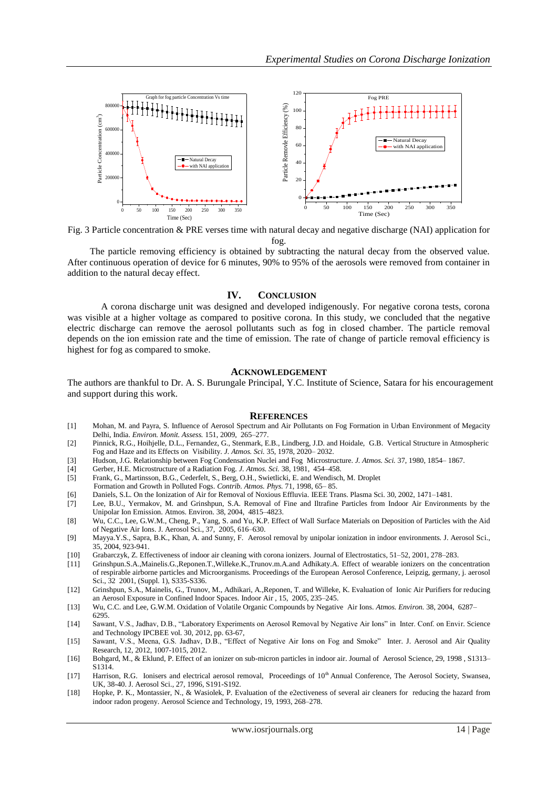

Fig. 3 Particle concentration & PRE verses time with natural decay and negative discharge (NAI) application for fog.

 The particle removing efficiency is obtained by subtracting the natural decay from the observed value. After continuous operation of device for 6 minutes, 90% to 95% of the aerosols were removed from container in addition to the natural decay effect.

#### **IV. CONCLUSION**

A corona discharge unit was designed and developed indigenously. For negative corona tests, corona was visible at a higher voltage as compared to positive corona. In this study, we concluded that the negative electric discharge can remove the aerosol pollutants such as fog in closed chamber. The particle removal depends on the ion emission rate and the time of emission. The rate of change of particle removal efficiency is highest for fog as compared to smoke.

#### **ACKNOWLEDGEMENT**

The authors are thankful to Dr. A. S. Burungale Principal, Y.C. Institute of Science, Satara for his encouragement and support during this work.

#### **REFERENCES**

- [1] Mohan, M. and Payra, S. Influence of Aerosol Spectrum and Air Pollutants on Fog Formation in Urban Environment of Megacity Delhi, India. *Environ. Monit. Assess.* 151, 2009, 265–277.
- [2] Pinnick, R.G., Hoihjelle, D.L., Fernandez, G., Stenmark, E.B., Lindberg, J.D. and Hoidale, G.B. Vertical Structure in Atmospheric Fog and Haze and its Effects on Visibility. *J. Atmos. Sci.* 35, 1978, 2020– 2032.
- [3] Hudson, J.G. Relationship between Fog Condensation Nuclei and Fog Microstructure. *J. Atmos. Sci.* 37, 1980, 1854– 1867.
- [4] Gerber, H.E. Microstructure of a Radiation Fog. *J. Atmos. Sci.* 38, 1981, 454–458.
- Frank, G., Martinsson, B.G., Cederfelt, S., Berg, O.H., Swietlicki, E. and Wendisch, M. Droplet
- Formation and Growth in Polluted Fogs. *Contrib. Atmos. Phys.* 71, 1998, 65– 85.
- [6] Daniels, S.L. On the Ionization of Air for Removal of Noxious Effluvia. IEEE Trans. Plasma Sci. 30, 2002, 1471–1481.
- [7] Lee, B.U., Yermakov, M. and Grinshpun, S.A. Removal of Fine and Iltrafine Particles from Indoor Air Environments by the Unipolar Ion Emission. Atmos. Environ. 38, 2004, 4815–4823.
- [8] Wu, C.C., Lee, G.W.M., Cheng, P., Yang, S. and Yu, K.P. Effect of Wall Surface Materials on Deposition of Particles with the Aid of Negative Air Ions. J. Aerosol Sci., 37, 2005, 616–630.
- [9] Mayya.Y.S., Sapra, B.K., Khan, A. and Sunny, F. Aerosol removal by unipolar ionization in indoor environments. J. Aerosol Sci., 35, 2004, 923-941.
- [10] Grabarczyk, Z. Effectiveness of indoor air cleaning with corona ionizers. Journal of Electrostatics, 51–52, 2001, 278–283.
- [11] Grinshpun.S.A.,Mainelis.G.,Reponen.T.,Willeke.K.,Trunov.m.A.and Adhikaty.A. Effect of wearable ionizers on the concentration of respirable airborne particles and Microorganisms. Proceedings of the European Aerosol Conference, Leipzig, germany, j. aerosol Sci., 32 2001, (Suppl. 1), S335-S336.
- [12] Grinshpun, S.A., Mainelis, G., Trunov, M., Adhikari, A.,Reponen, T. and Willeke, K. Evaluation of Ionic Air Purifiers for reducing an Aerosol Exposure in Confined Indoor Spaces. Indoor Air , 15, 2005, 235–245.
- [13] Wu, C.C. and Lee, G.W.M. Oxidation of Volatile Organic Compounds by Negative Air Ions. *Atmos. Environ.* 38, 2004, 6287– 6295.
- [14] Sawant, V.S., Jadhav, D.B., "Laboratory Experiments on Aerosol Removal by Negative Air Ions" in Inter. Conf. on Envir. Science and Technology IPCBEE vol. 30, 2012, pp. 63-67,
- [15] Sawant, V.S., Meena, G.S. Jadhav, D.B., "Effect of Negative Air Ions on Fog and Smoke" Inter. J. Aerosol and Air Quality Research, 12, 2012, 1007-1015, 2012.
- [16] Bohgard, M., & Eklund, P. Effect of an ionizer on sub-micron particles in indoor air. Journal of Aerosol Science, 29, 1998 , S1313– S1314.
- [17] Harrison, R.G. Ionisers and electrical aerosol removal, Proceedings of 10<sup>th</sup> Annual Conference, The Aerosol Society, Swansea, UK, 38-40. J. Aerosol Sci., 27, 1996, S191-S192.
- [18] Hopke, P. K., Montassier, N., & Wasiolek, P. Evaluation of the e2ectiveness of several air cleaners for reducing the hazard from indoor radon progeny. Aerosol Science and Technology, 19, 1993, 268–278.